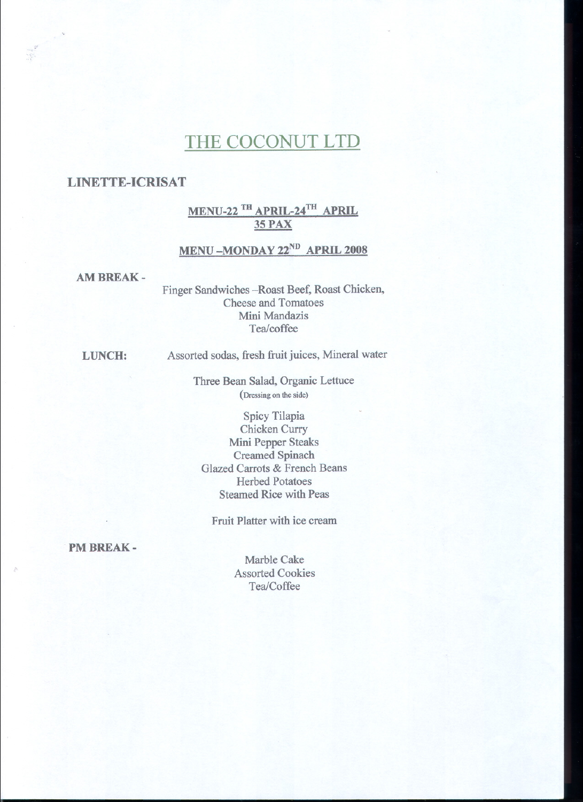# THE COCONUT LTD

### LINETTE-ICRISAT

..

## MENU-22 <sup>IH</sup> APRIL-24<sup>TH</sup> APRIL 35 PAX

## MENU-MONDAY 22<sup>ND</sup> APRIL 2008

#### AM BREAK -

Finger Sandwiches-Roast Beef, Roast Chicken, Cheese and Tomatoes Mini Mandazis Tea/coffee

LUNCH:

Assorted sodas, fresh fruit juices, Mineral water

Three Bean Salad, Organic Lettuce (Dressing on the side)

Spicy Tilapia Chicken Curry Mini Pepper Steaks Creamed Spinach Glazed Carrots & French Beans Herbed Potatoes Steamed Rice with Peas

Fruit Platter with ice cream

PM BREAK-

Marble Cake Assorted Cookies Tea/Coffee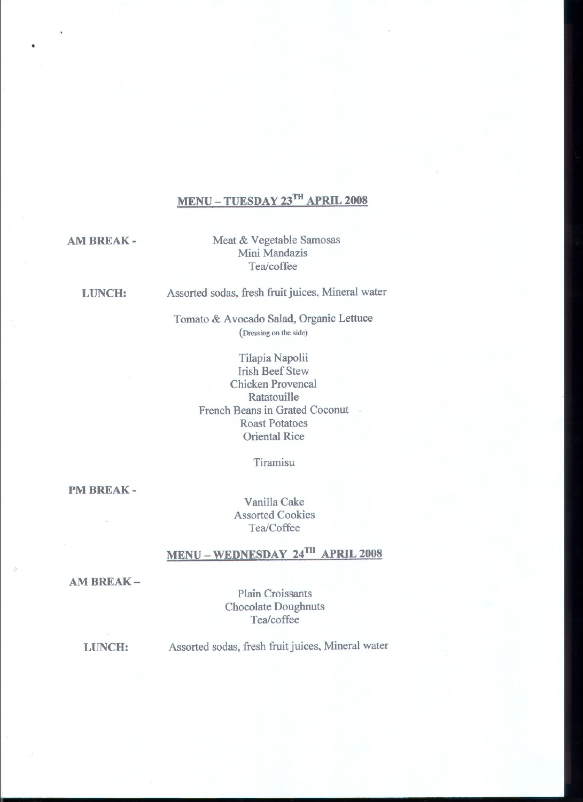# **MENU - TUESDAY 23m APRIL 2008**

**AM BREAK -**

.

Meat & Vegetable Samosas Mini Mandazis Tea/coffee

**LUNCH:** Assorted sodas, fresh fruit juices, Mineral water

> Tomato & Avocado Salad, Organic Lettuce (Dressing on the side)

> > Tilapia Napolii Irish Beef Stew Chicken Provencal Ratatouille French Beans in Grated Coconut Roast Potatoes Oriental Rice

> > > Tiramisu

**PM BREAK -**

Vanilla Cake Assorted Cookies Tea/Coffee

# **MENU - WEDNESDAY 24m APRIL 2008**

**AM BREAK-**

Plain Croissants Chocolate Doughnuts Tea/coffee

**LUNCH:**

Assorted sodas, fresh fruit juices, Mineral water